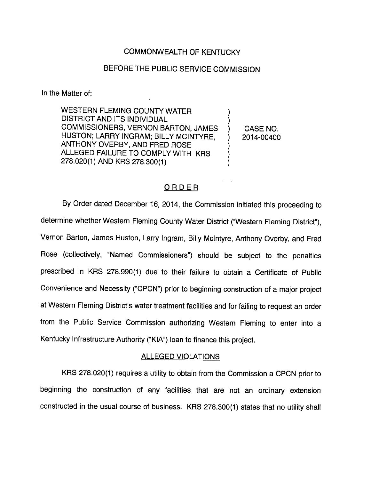## COMMONWEALTH OF KENTUCKY

# BEFORE THE PUBLIC SERVICE COMMISSION

In the Matter of:

WESTERN FLEMING COUNTY WATER -1 DISTRICT AND ITS INDIVIDUAL COMMISSIONERS, VERNON BARTON, JAMES ) CASE NO. HUSTON; LARRY INGRAM; BILLY MCINTYRE, ) 2014-00400 ANTHONY OVERBY, AND FRED ROSE ALLEGED FAILURE TO COMPLY WITH KRS 278.020(1) AND KRS 278.300(1)

## ORDER

By Order dated December 16, 2014, the Commission initiated this proceeding to determine whether Western Fleming County Water District ("Western Fleming District"), Vernon Barton, James Huston, Larry Ingram, Billy Mclntyre, Anthony Overby, and Fred Rose (collectively, "Named Commissioners") should be subject to the penalties prescribed in KRS 278.990(1) due to their failure to obtain a Certificate of Public Convenience and Necessity ("CPCN") prior to beginning construction of a major project at Western Fleming District's water treatment facilities and for failing to request an order from the Public Service Commission authorizing Western Fleming to enter into a Kentucky Infrastructure Authority ("KIA") loan to finance this project.

### ALLEGED VIOLATIONS

KRS 278.020(1) requires a utility to obtain from the Commission a CPCN prior to beginning the construction of any facilities that are not an ordinary extension constructed in the usual course of business. KRS 278.300(1) states that no utility shall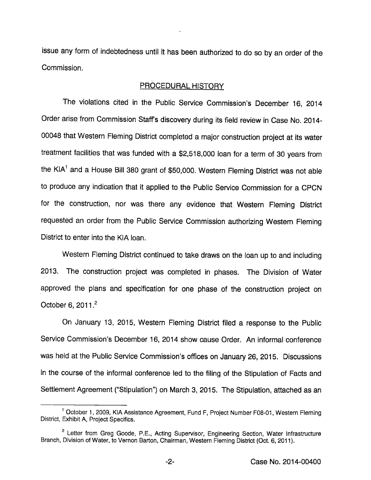issue any form of indebtedness until it has been authorized to do so by an order of the Commission.

### PROCEDURAL HISTORY

The violations cited in the Public Service Commission's December 16, 2014 Order arise from Commission Staffs discovery during its field review in Case No. 2014- 00048 that Western Fleming District completed a major construction project at its water treatment facilities that was funded with a \$2,518,000 loan for a term of 30 years from the KIA<sup>1</sup> and a House Bill 380 grant of \$50,000. Western Fleming District was not able to produce any indication that it applied to the Public Service Commission for a CPCN for the construction, nor was there any evidence that Western Fleming District requested an order from the Public Service Commission authorizing Westem Fleming District to enter into the KiA loan.

Western Fleming District continued to take draws on the loan up to and including 2013. The construction project was completed in phases. The Division of Water approved the plans and specification for one phase of the construction project on October 6, 2011. $^2$ 

On January 13, 2015, Westem Fleming District filed a response to the Public Service Commission's December 16, 2014 show cause Order. An informal conference was held at the Public Service Commission's offices on January 26, 2015. Discussions in the course of the informal conference led to the filing of the Stipulation of Facts and Settlement Agreement ("Stipulation") on March 3, 2015. The Stipulation, attached as an

<sup>&</sup>lt;sup>1</sup> October 1, 2009, KIA Assistance Agreement, Fund F, Project Number F08-01, Western Fleming District, Exhibit A, Project Specifics.

<sup>&</sup>lt;sup>2</sup> Letter from Greg Goode, P.E., Acting Supervisor, Engineering Section, Water Infrastructure Branch, Division of Water, to Vernon Barton, Chairman, Western Fleming District (Oct. 6, 2011).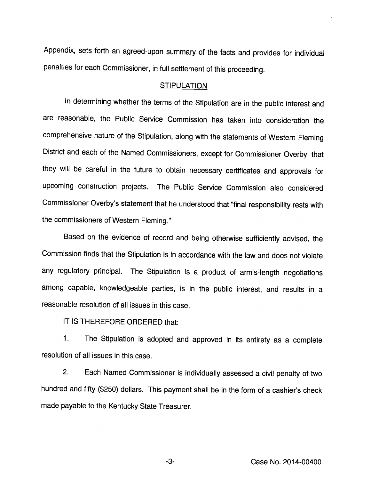Appendix, sets forth an agreed-upon summary of the facts and provides for individual penalties for each Commissioner, in full settlement of this proceeding.

#### **STIPULATION**

In determining whether the terms of the Stipulation are in the public interest and are reasonable, the Public Service Commission has taken into consideration the comprehensive nature of the Stipulation, along with the statements of Western Fleming District and each of the Named Commissioners, except for Commissioner Overby, that they will be careful in the future to obtain necessary certificates and approvals for upcoming construction projects. The Public Service Commission also considered Commissioner Overby's statement that he understood that "final responsibility rests with the commissioners of Western Fleming."

Based on the evidence of record and being otherwise sufficiently advised, the Commission finds that the Stipulation is in accordance with the law and does not violate any regulatory principal. The Stipulation is a product of arm's-length negotiations among capable, knowledgeable parties, is in the public interest, and results in a reasonable resolution of all issues in this case.

IT IS THEREFORE ORDERED that:

1. The Stipulation is adopted and approved in its entirety as a complete resolution of all issues in this case.

2. Each Named Commissioner is individually assessed a civil penalty of two hundred and fifty (\$250) dollars. This payment shall be in the form of a cashier's check made payable to the Kentucky State Treasurer.

-3- Case No. 2014-00400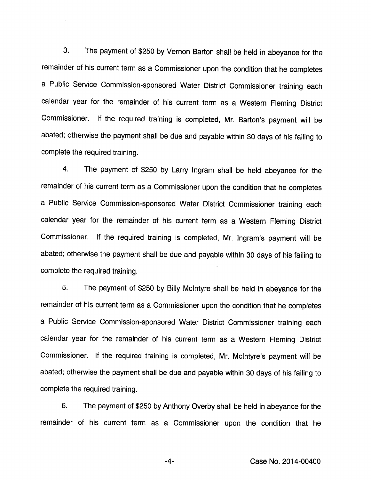3. The payment of \$250 by Vernon Barton shall be held in abeyance for the remainder of his current term as a Commissioner upon the condition that he completes a Public Service Commission-sponsored Water District Commissioner training each calendar year for the remainder of his current term as a Western Fleming District Commissioner. If the required training is completed, Mr. Barton's payment will be abated; otherwise the payment shall be due and payable within 30 days of his faiiing to complete the required training.

4. The payment of \$250 by Larry Ingram shall be held abeyance for the remainder of his current term as a Commissioner upon the condition that he completes a Public Service Commission-sponsored Water District Commissioner training each calendar year for the remainder of his current term as a Western Fleming District Commissioner. If the required training is completed, Mr. Ingram's payment will be abated; otherwise the payment shall be due and payable within 30 days of his faiiing to complete the required training.

5. The payment of \$250 by Billy Mclntyre shall be held in abeyance for the remainder of his current term as a Commissioner upon the condition that he completes a Public Service Commission-sponsored Water District Commissioner training each calendar year for the remainder of his current term as a Western Fleming District Commissioner. If the required training is completed, Mr. Mclntyre's payment will be abated; otherwise the payment shall be due and payable within 30 days of his failing to complete the required training.

6. The payment of \$250 by Anthony Overby shall be held in abeyance for the remainder of his current term as a Commissioner upon the condition that he

-4- Case No. 2014-00400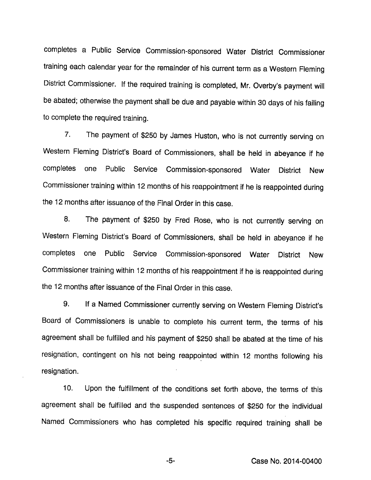completes a Public Service Commission-sponsored Water District Commissioner training each calendar year for the remainder of his current term as a Western Fleming District Commissioner. If the required training is completed, Mr. Overby's payment will be abated; otherwise the payment shall be due and payable within 30 days of his failing to complete the required training.

7. The payment of \$250 by James Huston, who is not currently serving on Western Fleming District's Board of Commissioners, shall be held in abeyance if he completes one Public Service Commission-sponsored Water District New Commissioner training within 12 months of his reappointment if he is reappointed during the 12 months after issuance of the Final Order in this case.

8. The payment of \$250 by Fred Rose, who is not currently serving on Western Fleming District's Board of Commissioners, shall be held in abeyance if he completes one Public Service Commission-sponsored Water District New Commissioner training within 12 months of his reappointment if he is reappointed during the 12 months after issuance of the Final Order in this case.

9. If a Named Commissioner currently serving on Western Fleming District's Board of Commissioners is unable to complete his current term, the terms of his agreement shall be fulfilled and his payment of \$250 shall be abated at the time of his resignation, contingent on his not being reappointed within 12 months following his resignation.

10. Upon the fulfillment of the conditions set forth above, the terms of this agreement shall be fulfilled and the suspended sentences of \$250 for the individual Named Commissioners who has completed his specific required training shall be

-5- Case No. 2014-00400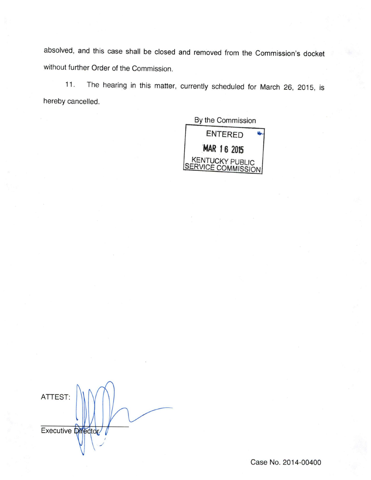absolved, and this case shall be closed and removed from the Commission's docket without further Order of the Commission.

11. The hearing in this matter, currently scheduled for March 26, 2015, is hereby cancelled.

By the Commission



ATTEST: Executive Director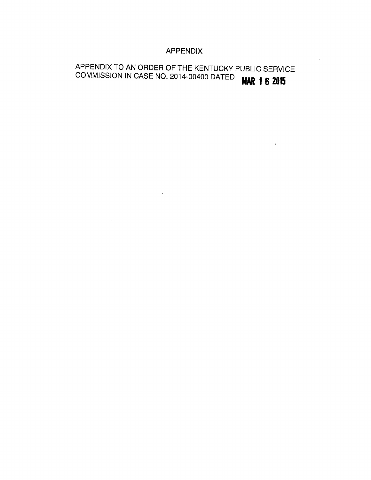# APPENDIX

# APPENDIX TO AN ORDER OF THE KENTUCKY PUBLIC SERVICE COMMISSION IN CASE NO. 2014-00400 DATED **WAR 16 2015**

 $\sim 10$ 

 $\sim 10^{11}$ 

 $\epsilon$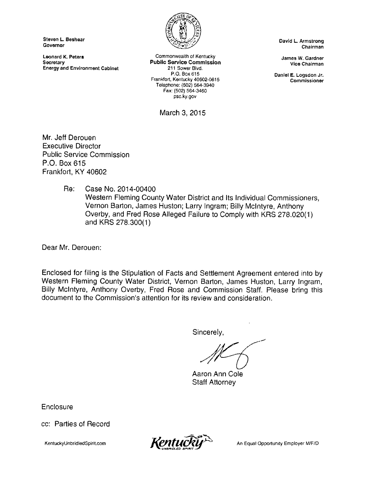Steven L Beshear **Governor** 

Leonard K. Petere **Secretary** Energy and Environment Cabinet



Commonwealth of Kentucky Public Service Commission 211 Sower Blvd. P.O. Box 615 Frankfort, Kentucky 40602-0615 Telephone: (502) 564-3940 Fax: (502) 564-3460 psc.ky.gov

March 3, 2015

David L. Armstrong Chairman

James W. Gardner Vice Chairman

Daniel E. Logsdon Jr. Commissioner

Mr, Jeff Derouen Executive Director Public Service Commission P.O. Box 615 Frankfort, KY 40602

> Re; Case No. 2014-00400 Western Fleming County Water District and Its Individual Commissioners, Vernon Barton, James Huston; Larry Ingram; Billy Mclntyre, Anthony Overby, and Fred Rose Alleged Failure to Comply with KRS 278.020(1) and KRS 278.300(1)

Dear Mr. Derouen:

Enclosed for filing is the Stipulation of Facts and Settlement Agreement entered into by Western Fleming County Water District, Vernon Barton, James Huston, Larry Ingram, Billy Mclntyre, Anthony Overby, Fred Rose and Commission Staff. Please bring this document to the Commission's attention for its review and consideration.

Sincerely,

Aaron Ann Cole Staff Attorney

**Enclosure** 

cc: Parties of Record

KentuckyUnbridledSplritcom



An Equal Opportunity Employer M/F/D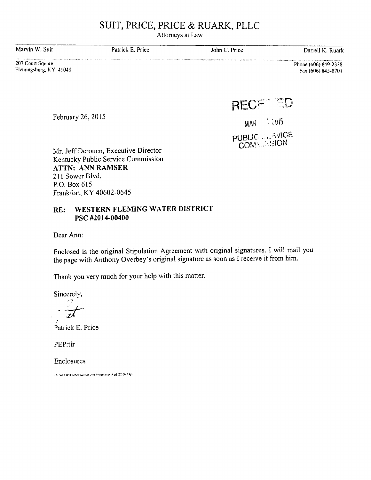# SUIT, PRICE, PRICE & RUARK, PLLC

Attorneys at Law

| Marvin W. Suit | Patrick E. Price | John C. Price | Darrell K. Ruark |
|----------------|------------------|---------------|------------------|
| .              |                  |               |                  |

207 Court Square FIcmingsburg,KY 41041 Phone (606) 849-2338 Fax (606) 845-8701

RECF<sup>®</sup>ED

MAR 12015

**PUBLIC CLAVICE** COMM. SION

Mr. Jeff Deroucn, Executive Director Kentucky Public Service Commission ATTN: ANN RAMSER 211 Sower Blvd. P.O. Box 615 Frankfort, KY 40602-0645

### RE: WESTERN FLEMING WATER DISTRICT PSC #2014-00400

Dear Ann:

February 26, 2015

Enclosed is the original Stipulation Agreement with original signatures. I will mail you the page with Anthony Overbey's original signature as soon as I receive it from him.

Thank you very much for your help with this matter.

Sincerely,

•'Tt

Patrick E. Price

PEP:tlr

Enclosures

' Tr WTC WD-Letter Raimser. Arm (Siepoletiche A#] (62-26-15)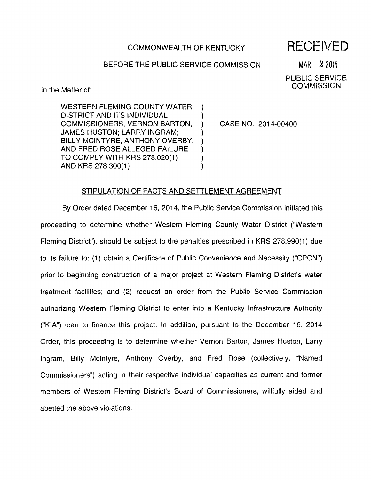### COMMONWEALTH OF KENTUCKY

 $\lambda$ 

# RECEIVED

### BEFORE THE PUBLIC SERVICE COMMISSION

 $MAR$   $2$  2015

PUBLIC SERVICE **COMMISSION** 

In the Matter of:

WESTERN FLEMING COUNTY WATER DISTRICT AND ITS INDIVIDUAL COMMISSIONERS, VERNON BARTON, JAMES HUSTON: LARRY INGRAM; BILLY MCINTYRE, ANTHONY OVERBY, AND FRED ROSE ALLEGED FAILURE TO COMPLY WITH KRS 278.020(1) ANDKRS 278.300(1)

CASE NO. 2014-00400

### STIPULATION OF FACTS AND SETTLEMENT AGREEMENT

By Order dated December 16, 2014, the Public Service Commission Initiated this proceeding to determine whether Western Fleming County Water District ("Western Fleming District"), should be subject to the penalties prescribed in KRS 278.990(1) due to Its failure to: (1) obtain a Certificate of Public Convenience and Necessity ("CPCN") prior to beginning construction of a major project at Western Fleming District's water treatment facilities; and (2) request an order from the Public Service Commission authorizing Westem Fleming District to enter into a Kentucky Infrastructure Authority ("KIA") loan to finance this project. In addition, pursuant to the December 16, 2014 Order, this proceeding is to determine whether Vernon Barton, James Huston, Larry Ingram, Billy Mclntyre, Anthony Overby, and Fred Rose (collectively, "Named Commissioners") acting in their respective individual capacities as current and former members of Westem Fleming District's Board of Commissioners, willfully aided and abetted the above violations.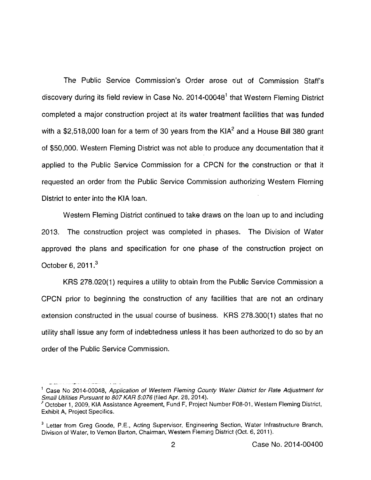The Public Service Commission's Order arose out of Commission Staff's discovery during its field review in Case No.  $2014$ -00048<sup>1</sup> that Western Fleming District completed a major construction project at its water treatment facilities that was funded with a \$2,518,000 loan for a term of 30 years from the KIA $2$  and a House Bill 380 grant of \$50,000. Western Fleming District was not able to produce any documentation that it applied to the Public Service Commission for a CPCN for the construction or that it requested an order from the Public Service Commission authorizing Western Fleming District to enter into the KIA loan.

Westem Fleming District continued to take draws on the loan up to and including 2013. The construction project was completed in phases. The Division of Water approved the plans and specification for one phase of the construction project on October 6, 2011.<sup>3</sup>

KRS 278.020(1) requires a utility to obtain from the Public Service Commission a CPCN prior to beginning the construction of any facilities that are not an ordinary extension constructed in the usual course of business. KRS 278.300(1) states that no utility shall issue any form of indebtedness unless it has been authorized to do so by an order of the Public Service Commission.

<sup>&#</sup>x27; Case No 2014-00040, Application of Westem Fleming County Water District for Rate Adjustment for Small Utilities Pursuant to 807 KAR 5:076 (filed Apr. 28, 2014).

 $^\prime$  October 1, 2009, KIA Assistance Agreement, Fund F, Project Number F08-01, Western Fleming District, Exhibit A, Project Specifics.

<sup>&</sup>lt;sup>3</sup> Letter from Greg Goode, P.E., Acting Supervisor, Engineering Section, Water Infrastructure Branch, Division of Water, to Vemon Barton, Chairman, Westem Fleming District (Oct. 6, 2011).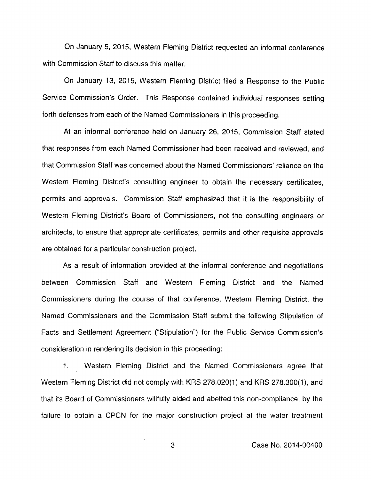On January 5, 2015, Western Fleming District requested an informal conference with Commission Staff to discuss this matter.

On January 13, 2015, Western Fleming District filed a Response to the Public Service Commission's Order. This Response contained individual responses setting forth defenses from each of the Named Commissioners in this proceeding.

At an informal conference held on January 26, 2015, Commission Staff stated that responses from each Named Commissioner had been received and reviewed, and that Commission Staff was concerned about the Named Commissioners' reliance on the Westem Fleming District's consulting engineer to obtain the necessary certificates, permits and approvals. Commission Staff emphasized that it is the responsibility of Western Fleming District's Board of Commissioners, not the consulting engineers or architects, to ensure that appropriate certificates, permits and other requisite approvals are obtained for a particular construction project.

As a result of information provided at the informal conference and negotiations between Commission Staff and Western Fleming District and the Named Commissioners during the course of that conference. Western Fleming District, the Named Commissioners and the Commission Staff submit the following Stipulation of Facts and Settlement Agreement ("Stipulation") for the Public Service Commission's consideration in rendering its decision in this proceeding:

1. Westem Fleming District and the Named Commissioners agree that Westem Fleming District did not comply with KRS 278.020(1) and KRS 278.300(1), and that its Board of Commissioners willfully aided and abetted this non-compliance, by the failure to obtain a CPCN for the major construction project at the water treatment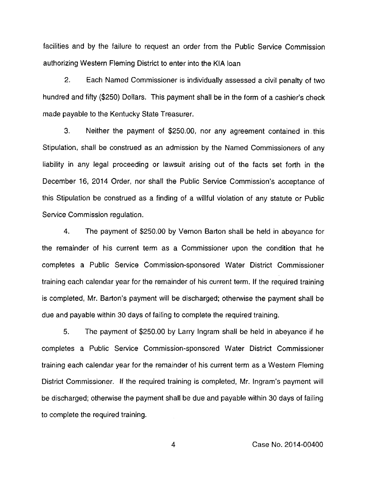facilities and by the failure to request an order from the Public Service Commission authorizing Westem Fleming District to enter into the KIA loan

2. Each Named Commissioner is individually assessed a civil penalty of two hundred and fifty (\$250) Dollars. This payment shall be in the form of a cashier's check made payable to the Kentucky State Treasurer.

3. Neither the payment of \$250.00, nor any agreement contained in.this Stipulation, shall be construed as an admission by the Named Commissioners of any liability in any legal proceeding or lawsuit arising out of the facts set forth in the December 16, 2014 Order, nor shall the Public Service Commission's acceptance of this Stipulation be construed as a finding of a willful violation of any statute or Public Service Commission regulation.

4. The payment of \$250.00 by Vemon Barton shall be held in abeyance for the remainder of his current term as a Commissioner upon the condition that he completes a Public Service Commission-sponsored Water District Commissioner training each calendar year for the remainder of his current term. If the required training is completed, Mr. Barton's payment will be discharged: otherwise the payment shall be due and payable within 30 days of failing to complete the required training.

5. The payment of \$250.00 by Larry Ingram shall be held in abeyance if he completes a Public Service Commission-sponsored Water District Commissioner training each calendar year for the remainder of his current term as a Westem Fleming District Commissioner. If the required training is completed, Mr. Ingram's payment will be discharged; otherwise the payment shall be due and payable within 30 days of failing to complete the required training.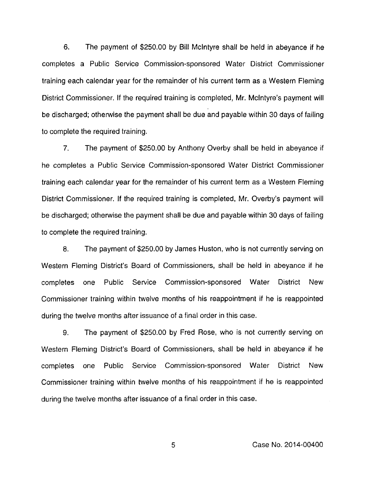6. The payment of \$250.00 by Bill Mclntyre shall be held in abeyance if he completes a Public Service Commission-sponsored Water District Commissioner training each calendar year for the remainder of his current term as a Western Fleming District Commissioner. If the required training is completed, Mr. Mcintyre's payment will be discharged; otherwise the payment shall be due and payable within 30 days of failing to complete the required training.

7. The payment of \$250.00 by Anthony Overby shall be held in abeyance if he completes a Public Service Commission-sponsored Water District Commissioner training each calendar year for the remainder of his current term as a Western Fleming District Commissioner. If the required training is completed, Mr. Overby's payment will be discharged; otherwise the payment shall be due and payable within 30 days of failing to complete the required training.

8. The payment of \$250.00 by James Huston, who is not currently serving on Western Fleming District's Board of Commissioners, shall be held in abeyance if he completes one Public Service Commission-sponsored Water District New Commissioner training within twelve months of his reappointment if he is reappointed during the twelve months after issuance of a final order in this case.

9. The payment of \$250.00 by Fred Rose, who is not currently serving on Western Fleming District's Board of Commissioners, shall be held in abeyance if he completes one Public Service Commission-sponsored Water District New Commissioner training within twelve months of his reappointment if he is reappointed during the twelve months after issuance of a final order in this case.

Case No. 2014-00400

5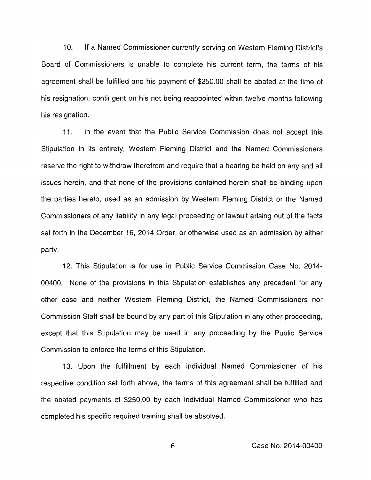10. If a Named Commissioner currently serving on Western Fleming District's Board of Commissioners is unable to complete his current term, the terms of his agreement shall be fulfilled and his payment of \$250.00 shall be abated at the time of his resignation, contingent on his not being reappointed within twelve months following his resignation.

11. In the event that the Public Service Commission does not accept this Stipulation in its entirety, Western Fleming District and the Named Commissioners reserve the right to withdraw therefrom and require that a hearing be held on any and all issues herein, and that none of the provisions contained herein shall be binding upon the parties hereto, used as an admission by Westem Fleming District or the Named Commissioners of any liability in any legal proceeding or lawsuit arising out of the facts set forth in the December 16, 2014 Order, or otherwise used as an admission by either party.

12. This Stipulation is for use in Public Service Commission Case No. 2014- 00400, None of the provisions in this Stipulation establishes any precedent for any other case and neither Westem Fleming District, the Named Commissioners nor Commission Staff shall be bound by any part of this Stipulation in any other proceeding, except that this Stipulation may be used in any proceeding by the Public Service Commission to enforce the terms of this Stipulation.

13. Upon the fulfillment by each individual Named Commissioner of his respective condition set forth above, the terms of this agreement shall be fulfilled and the abated payments of \$250.00 by each individual Named Commissioner who has completed his specific required training shall be absolved.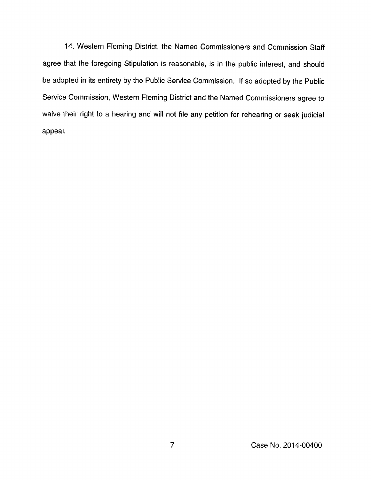14. Western Fleming District, the Named Commissioners and Commission Staff agree that the foregoing Stipulation is reasonable, is in the public interest, and should be adopted in its entirety by the Public Service Commission. If so adopted by the Public Service Commission, Westem Fleming District and the Named Commissioners agree to waive their right to a hearing and will not file any petition for rehearing or seek judicial appeal.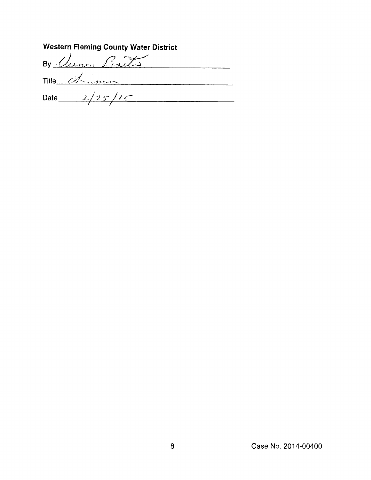| <b>Western Fleming County Water District</b> |  |  |  |  |
|----------------------------------------------|--|--|--|--|
| By Cemm Barto                                |  |  |  |  |
| Title d'aimen                                |  |  |  |  |
| Date $2/25/15$                               |  |  |  |  |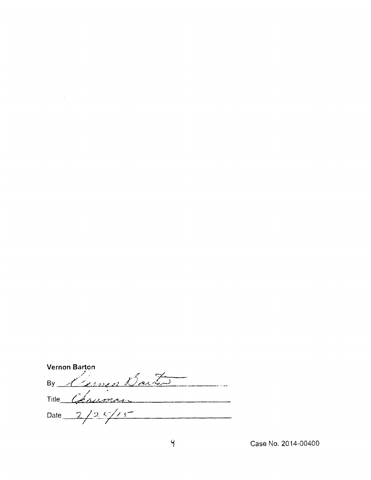| Vernon Barton                              |  |  |  |
|--------------------------------------------|--|--|--|
| German Baiter<br>By                        |  |  |  |
| Chrisman<br>Title $\overline{\phantom{a}}$ |  |  |  |
| 2/25/15<br>Date                            |  |  |  |
|                                            |  |  |  |

 $\label{eq:2.1} \frac{1}{\sqrt{2}}\int_{\mathbb{R}^3}\frac{1}{\sqrt{2}}\left(\frac{1}{\sqrt{2}}\int_{\mathbb{R}^3}\frac{1}{\sqrt{2}}\left(\frac{1}{\sqrt{2}}\int_{\mathbb{R}^3}\frac{1}{\sqrt{2}}\right)\frac{1}{\sqrt{2}}\right)\frac{1}{\sqrt{2}}\,d\mu$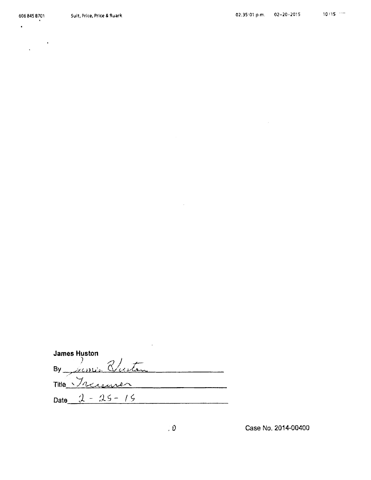$\label{eq:2} \frac{1}{\sqrt{2\pi}}\frac{1}{\sqrt{2\pi}}\frac{1}{\sqrt{2\pi}}\frac{1}{\sqrt{2\pi}}\frac{1}{\sqrt{2\pi}}\frac{1}{\sqrt{2\pi}}\frac{1}{\sqrt{2\pi}}\frac{1}{\sqrt{2\pi}}\frac{1}{\sqrt{2\pi}}\frac{1}{\sqrt{2\pi}}\frac{1}{\sqrt{2\pi}}\frac{1}{\sqrt{2\pi}}\frac{1}{\sqrt{2\pi}}\frac{1}{\sqrt{2\pi}}\frac{1}{\sqrt{2\pi}}\frac{1}{\sqrt{2\pi}}\frac{1}{\sqrt{2\pi}}\frac{1}{\sqrt{2$ 

 $\bullet$ 

 $\sim 10^{11}$ 

| <b>James Huston</b> |  |
|---------------------|--|
| By June Buston      |  |
| Title Treasurer     |  |
| Date $2 - 25 - 15$  |  |

 $\sim 10^7$ 

 $\sim 10^{-11}$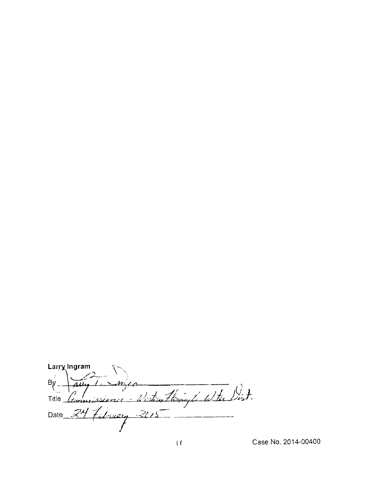Larry Ingram  $B\gamma$ Allu Zr. Thing to Withe Dist. <u>hlestis</u> Title  $\ddot{\phantom{a}}$ commissionel February 2015 Date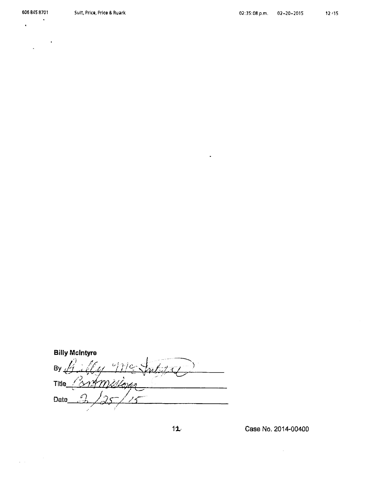606 845 8701

 $\label{eq:2} \frac{1}{\sqrt{2\pi}}\int_{0}^{\infty} \frac{d\mu}{\sqrt{2\pi}}\,d\mu\,d\mu\,.$ 

 $\ddot{\phantom{0}}$  $\bullet$ 

**Billy McIntyre**  $By$ missima **Title** イショッカ Date

Case No. 2014-00400

 $12$ 

 $\bullet$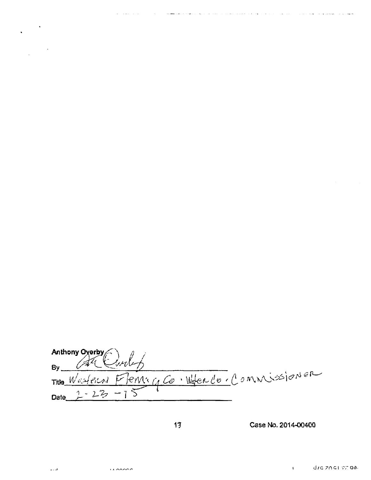| Anthony Overby<br>By All Curley |                                              |  |  |
|---------------------------------|----------------------------------------------|--|--|
|                                 |                                              |  |  |
|                                 | THE Western Flemenco. Woter Co. Commissioner |  |  |
| Date $2 - 23 - 15$              |                                              |  |  |

and the same security of the same security in the contract of the same security of the same security of the same

 $\omega$  . The  $\omega$ 

 $\hat{\textbf{v}}$ 

 $\hat{\boldsymbol{\beta}}$ 

المتحصر والمستعادة

 $\sim$   $\sim$ ومستد

بالأستهد

Case No. 2014-00400

 $\mathbf{H}^{\mathrm{max}}$ 

 $13$ 

 $\varphi$  .  $\varphi$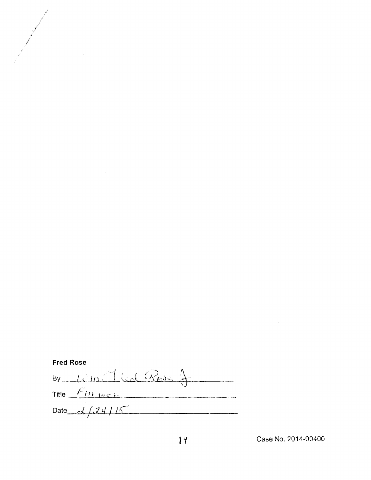| <b>Fred Rose</b> |                                                 |  |  |  |
|------------------|-------------------------------------------------|--|--|--|
|                  | By $\lim \frac{1}{\pi}$ is $\lim \frac{1}{\pi}$ |  |  |  |
|                  | Title $f$ <i>P</i> $P$                          |  |  |  |
|                  | Date $2/24/15$                                  |  |  |  |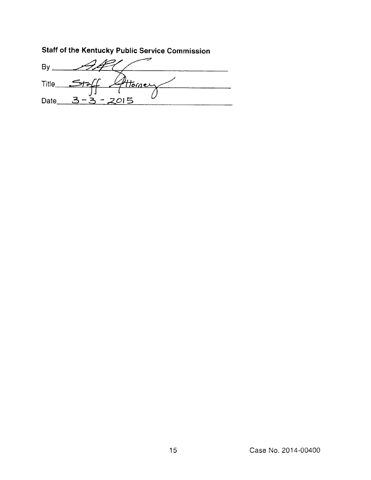Staff of the Kentucky Public Service Commission

 $By 122$ Title<sub>5</sub> <u>Homer</u>  $\overline{t}$ يمله Date  $3-3-2015$